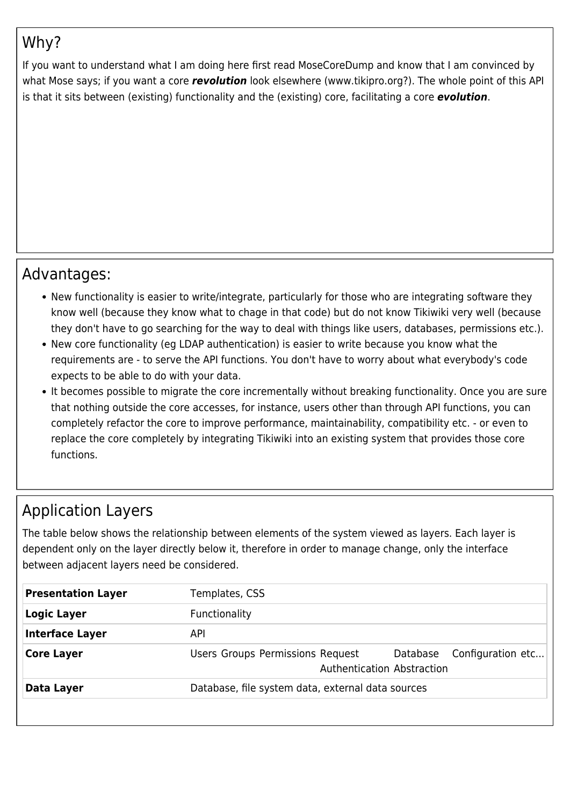# Why?

If you want to understand what I am doing here first read MoseCoreDump and know that I am convinced by what Mose says; if you want a core *revolution* look elsewhere (www.tikipro.org?). The whole point of this API is that it sits between (existing) functionality and the (existing) core, facilitating a core *evolution*.

#### Advantages:

- New functionality is easier to write/integrate, particularly for those who are integrating software they know well (because they know what to chage in that code) but do not know Tikiwiki very well (because they don't have to go searching for the way to deal with things like users, databases, permissions etc.).
- New core functionality (eg LDAP authentication) is easier to write because you know what the requirements are - to serve the API functions. You don't have to worry about what everybody's code expects to be able to do with your data.
- It becomes possible to migrate the core incrementally without breaking functionality. Once you are sure that nothing outside the core accesses, for instance, users other than through API functions, you can completely refactor the core to improve performance, maintainability, compatibility etc. - or even to replace the core completely by integrating Tikiwiki into an existing system that provides those core functions.

#### Application Layers

The table below shows the relationship between elements of the system viewed as layers. Each layer is dependent only on the layer directly below it, therefore in order to manage change, only the interface between adjacent layers need be considered.

| <b>Presentation Layer</b> | Templates, CSS                                    |                                                          |
|---------------------------|---------------------------------------------------|----------------------------------------------------------|
| <b>Logic Layer</b>        | <b>Functionality</b>                              |                                                          |
| <b>Interface Layer</b>    | API                                               |                                                          |
| <b>Core Layer</b>         | Users Groups Permissions Request                  | Database Configuration etc<br>Authentication Abstraction |
| Data Layer                | Database, file system data, external data sources |                                                          |
|                           |                                                   |                                                          |